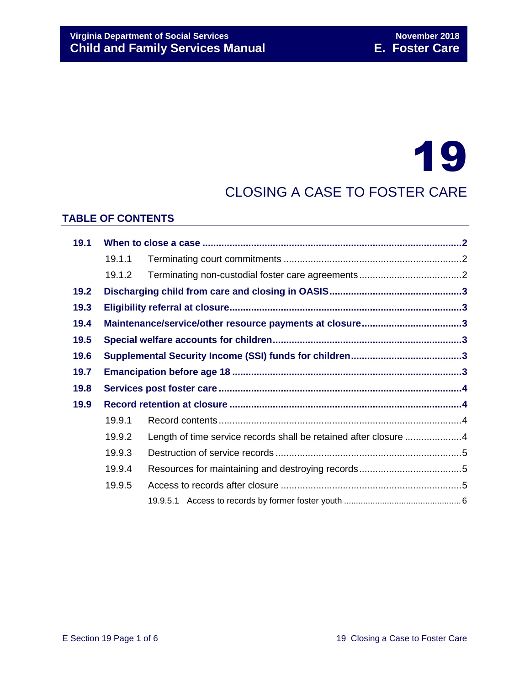# 19

# CLOSING A CASE TO FOSTER CARE

#### **TABLE OF CONTENTS**

| 19.1 |        |                                                                  |  |  |
|------|--------|------------------------------------------------------------------|--|--|
|      | 19.1.1 |                                                                  |  |  |
|      | 19.1.2 |                                                                  |  |  |
| 19.2 |        |                                                                  |  |  |
| 19.3 |        |                                                                  |  |  |
| 19.4 |        | Maintenance/service/other resource payments at closure3          |  |  |
| 19.5 |        |                                                                  |  |  |
| 19.6 |        |                                                                  |  |  |
| 19.7 |        |                                                                  |  |  |
| 19.8 |        |                                                                  |  |  |
| 19.9 |        |                                                                  |  |  |
|      | 19.9.1 |                                                                  |  |  |
|      | 19.9.2 | Length of time service records shall be retained after closure 4 |  |  |
|      | 19.9.3 |                                                                  |  |  |
|      | 19.9.4 |                                                                  |  |  |
|      | 19.9.5 |                                                                  |  |  |
|      |        |                                                                  |  |  |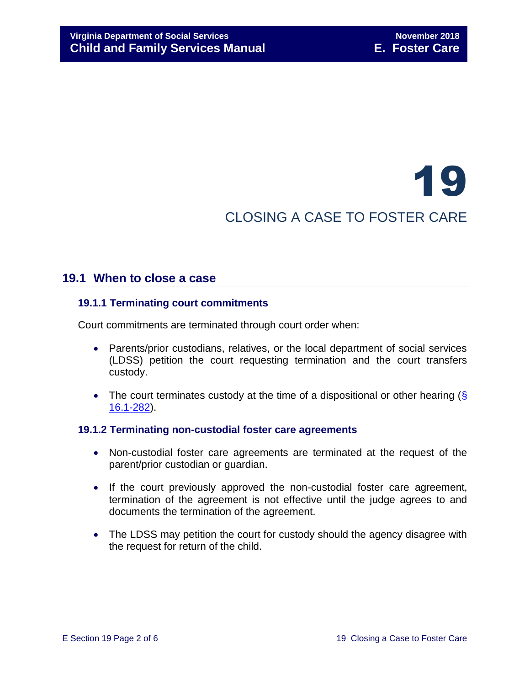# 19 CLOSING A CASE TO FOSTER CARE

# <span id="page-1-0"></span>**19.1 When to close a case**

#### <span id="page-1-1"></span>**19.1.1 Terminating court commitments**

Court commitments are terminated through court order when:

- Parents/prior custodians, relatives, or the local department of social services (LDSS) petition the court requesting termination and the court transfers custody.
- The court terminates custody at the time of a dispositional or other hearing  $(\S$ [16.1-282\)](http://law.lis.virginia.gov/vacode/16.1-282/).

#### <span id="page-1-2"></span>**19.1.2 Terminating non-custodial foster care agreements**

- Non-custodial foster care agreements are terminated at the request of the parent/prior custodian or guardian.
- If the court previously approved the non-custodial foster care agreement, termination of the agreement is not effective until the judge agrees to and documents the termination of the agreement.
- The LDSS may petition the court for custody should the agency disagree with the request for return of the child.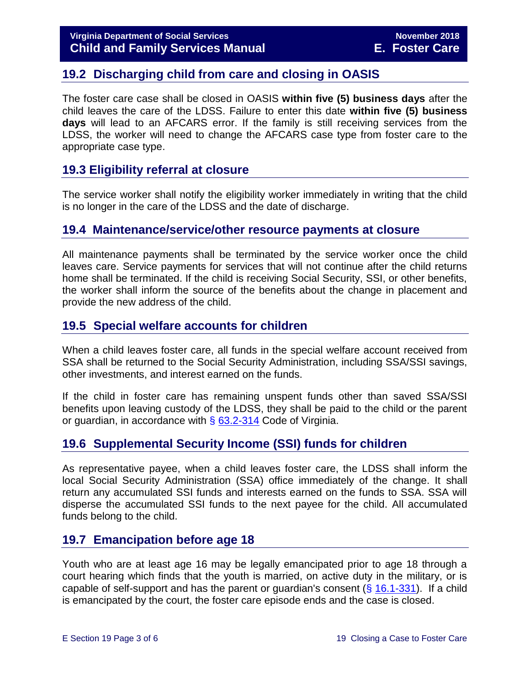# <span id="page-2-0"></span>**19.2 Discharging child from care and closing in OASIS**

The foster care case shall be closed in OASIS **within five (5) business days** after the child leaves the care of the LDSS. Failure to enter this date **within five (5) business days** will lead to an AFCARS error. If the family is still receiving services from the LDSS, the worker will need to change the AFCARS case type from foster care to the appropriate case type.

# <span id="page-2-1"></span>**19.3 Eligibility referral at closure**

The service worker shall notify the eligibility worker immediately in writing that the child is no longer in the care of the LDSS and the date of discharge.

### <span id="page-2-2"></span>**19.4 Maintenance/service/other resource payments at closure**

All maintenance payments shall be terminated by the service worker once the child leaves care. Service payments for services that will not continue after the child returns home shall be terminated. If the child is receiving Social Security, SSI, or other benefits, the worker shall inform the source of the benefits about the change in placement and provide the new address of the child.

# <span id="page-2-3"></span>**19.5 Special welfare accounts for children**

When a child leaves foster care, all funds in the special welfare account received from SSA shall be returned to the Social Security Administration, including SSA/SSI savings, other investments, and interest earned on the funds.

If the child in foster care has remaining unspent funds other than saved SSA/SSI benefits upon leaving custody of the LDSS, they shall be paid to the child or the parent or guardian, in accordance with  $\S$  [63.2-314](http://law.lis.virginia.gov/vacode/63.2-314/) Code of Virginia.

# <span id="page-2-4"></span>**19.6 Supplemental Security Income (SSI) funds for children**

As representative payee, when a child leaves foster care, the LDSS shall inform the local Social Security Administration (SSA) office immediately of the change. It shall return any accumulated SSI funds and interests earned on the funds to SSA. SSA will disperse the accumulated SSI funds to the next payee for the child. All accumulated funds belong to the child.

# <span id="page-2-5"></span>**19.7 Emancipation before age 18**

Youth who are at least age 16 may be legally emancipated prior to age 18 through a court hearing which finds that the youth is married, on active duty in the military, or is capable of self-support and has the parent or quardian's consent  $(\S$  [16.1-331\)](http://law.lis.virginia.gov/vacode/16.1-331/). If a child is emancipated by the court, the foster care episode ends and the case is closed.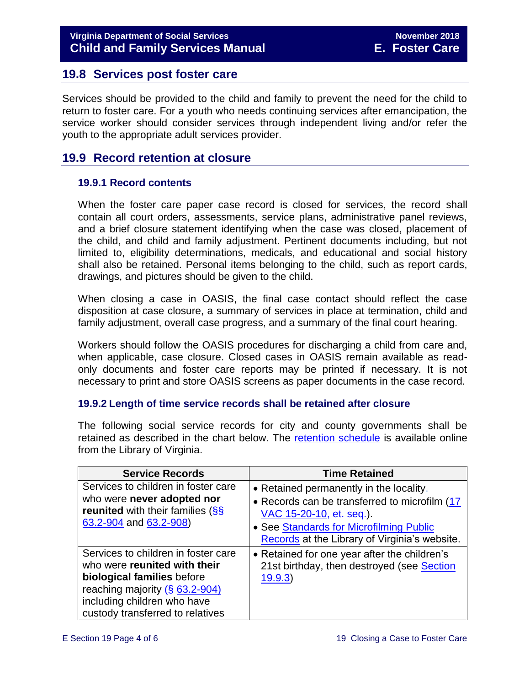# <span id="page-3-0"></span>**19.8 Services post foster care**

Services should be provided to the child and family to prevent the need for the child to return to foster care. For a youth who needs continuing services after emancipation, the service worker should consider services through independent living and/or refer the youth to the appropriate adult services provider.

# <span id="page-3-1"></span>**19.9 Record retention at closure**

#### <span id="page-3-2"></span>**19.9.1 Record contents**

When the foster care paper case record is closed for services, the record shall contain all court orders, assessments, service plans, administrative panel reviews, and a brief closure statement identifying when the case was closed, placement of the child, and child and family adjustment. Pertinent documents including, but not limited to, eligibility determinations, medicals, and educational and social history shall also be retained. Personal items belonging to the child, such as report cards, drawings, and pictures should be given to the child.

When closing a case in OASIS, the final case contact should reflect the case disposition at case closure, a summary of services in place at termination, child and family adjustment, overall case progress, and a summary of the final court hearing.

Workers should follow the OASIS procedures for discharging a child from care and, when applicable, case closure. Closed cases in OASIS remain available as readonly documents and foster care reports may be printed if necessary. It is not necessary to print and store OASIS screens as paper documents in the case record.

#### <span id="page-3-3"></span>**19.9.2 Length of time service records shall be retained after closure**

The following social service records for city and county governments shall be retained as described in the chart below. The [retention schedule](http://www.lva.virginia.gov/agencies/records/sched_local/GS-15.pdf) is available online from the Library of Virginia.

| <b>Service Records</b>                                                                                                                                                                                               | <b>Time Retained</b>                                                                                                                                                                                             |
|----------------------------------------------------------------------------------------------------------------------------------------------------------------------------------------------------------------------|------------------------------------------------------------------------------------------------------------------------------------------------------------------------------------------------------------------|
| Services to children in foster care<br>who were never adopted nor<br><b>reunited</b> with their families (SS)<br>63.2-904 and 63.2-908)                                                                              | • Retained permanently in the locality.<br>• Records can be transferred to microfilm (17<br>VAC 15-20-10, et. seq.).<br>• See Standards for Microfilming Public<br>Records at the Library of Virginia's website. |
| Services to children in foster care<br>who were reunited with their<br>biological families before<br>reaching majority $(\frac{6}{5} 63.2 - 904)$<br>including children who have<br>custody transferred to relatives | • Retained for one year after the children's<br>21st birthday, then destroyed (see Section<br>19.9.3                                                                                                             |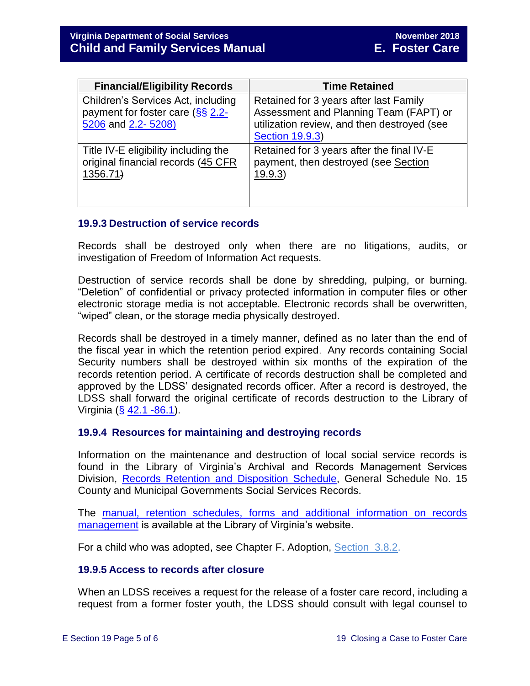| <b>Financial/Eligibility Records</b>                                                                    | <b>Time Retained</b>                                                                                                                                      |
|---------------------------------------------------------------------------------------------------------|-----------------------------------------------------------------------------------------------------------------------------------------------------------|
| Children's Services Act, including<br>payment for foster care $(\frac{55}{52}.2)$<br>5206 and 2.2-5208) | Retained for 3 years after last Family<br>Assessment and Planning Team (FAPT) or<br>utilization review, and then destroyed (see<br><b>Section 19.9.3)</b> |
| Title IV-E eligibility including the<br>original financial records (45 CFR<br>1356.71                   | Retained for 3 years after the final IV-E<br>payment, then destroyed (see Section<br>19.9.3)                                                              |

#### <span id="page-4-0"></span>**19.9.3 Destruction of service records**

Records shall be destroyed only when there are no litigations, audits, or investigation of Freedom of Information Act requests.

Destruction of service records shall be done by shredding, pulping, or burning. "Deletion" of confidential or privacy protected information in computer files or other electronic storage media is not acceptable. Electronic records shall be overwritten, "wiped" clean, or the storage media physically destroyed.

Records shall be destroyed in a timely manner, defined as no later than the end of the fiscal year in which the retention period expired. Any records containing Social Security numbers shall be destroyed within six months of the expiration of the records retention period. A certificate of records destruction shall be completed and approved by the LDSS' designated records officer. After a record is destroyed, the LDSS shall forward the original certificate of records destruction to the Library of Virginia ( $\S$  [42.1 -86.1\)](http://law.lis.virginia.gov/vacode/42.1-86.1/).

#### <span id="page-4-1"></span>**19.9.4 Resources for maintaining and destroying records**

Information on the maintenance and destruction of local social service records is found in the Library of Virginia's Archival and Records Management Services Division, [Records Retention and Disposition Schedule,](http://www.lva.virginia.gov/agencies/records/sched_local/GS-15.pdf) General Schedule No. 15 County and Municipal Governments Social Services Records.

The manual, retention schedules, forms and additional information on records [management](http://www.lva.virginia.gov/agencies/records/) is available at the Library of Virginia's website.

For a child who was adopted, see Chapter F. Adoption, [Section](http://www.dss.virginia.gov/family/ap/index.cgi) 3.8.2.

#### <span id="page-4-2"></span>**19.9.5 Access to records after closure**

When an LDSS receives a request for the release of a foster care record, including a request from a former foster youth, the LDSS should consult with legal counsel to